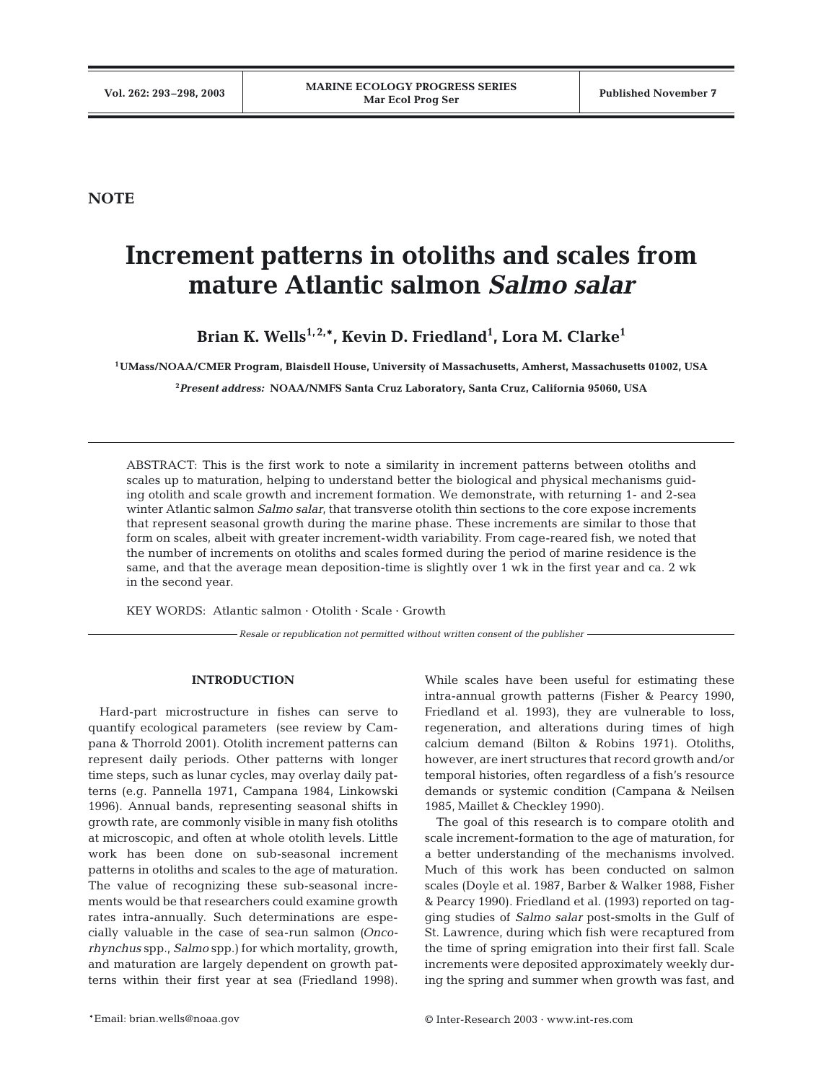**NOTE**

# **Increment patterns in otoliths and scales from mature Atlantic salmon** *Salmo salar*

Brian K. Wells<sup>1,2,\*</sup>, Kevin D. Friedland<sup>1</sup>, Lora M. Clarke<sup>1</sup>

**1UMass/NOAA/CMER Program, Blaisdell House, University of Massachusetts, Amherst, Massachusetts 01002, USA**

**2** *Present address:* **NOAA/NMFS Santa Cruz Laboratory, Santa Cruz, California 95060, USA**

ABSTRACT: This is the first work to note a similarity in increment patterns between otoliths and scales up to maturation, helping to understand better the biological and physical mechanisms guiding otolith and scale growth and increment formation. We demonstrate, with returning 1- and 2-sea winter Atlantic salmon *Salmo salar*, that transverse otolith thin sections to the core expose increments that represent seasonal growth during the marine phase. These increments are similar to those that form on scales, albeit with greater increment-width variability. From cage-reared fish, we noted that the number of increments on otoliths and scales formed during the period of marine residence is the same, and that the average mean deposition-time is slightly over 1 wk in the first year and ca. 2 wk in the second year.

KEY WORDS: Atlantic salmon · Otolith · Scale · Growth

*Resale or republication not permitted without written consent of the publisher*

## **INTRODUCTION**

Hard-part microstructure in fishes can serve to quantify ecological parameters (see review by Campana & Thorrold 2001). Otolith increment patterns can represent daily periods. Other patterns with longer time steps, such as lunar cycles, may overlay daily patterns (e.g. Pannella 1971, Campana 1984, Linkowski 1996). Annual bands, representing seasonal shifts in growth rate, are commonly visible in many fish otoliths at microscopic, and often at whole otolith levels. Little work has been done on sub-seasonal increment patterns in otoliths and scales to the age of maturation. The value of recognizing these sub-seasonal increments would be that researchers could examine growth rates intra-annually. Such determinations are especially valuable in the case of sea-run salmon (*Oncorhynchus* spp., *Salmo* spp.) for which mortality, growth, and maturation are largely dependent on growth patterns within their first year at sea (Friedland 1998). While scales have been useful for estimating these intra-annual growth patterns (Fisher & Pearcy 1990, Friedland et al. 1993), they are vulnerable to loss, regeneration, and alterations during times of high calcium demand (Bilton & Robins 1971). Otoliths, however, are inert structures that record growth and/or temporal histories, often regardless of a fish's resource demands or systemic condition (Campana & Neilsen 1985, Maillet & Checkley 1990).

The goal of this research is to compare otolith and scale increment-formation to the age of maturation, for a better understanding of the mechanisms involved. Much of this work has been conducted on salmon scales (Doyle et al. 1987, Barber & Walker 1988, Fisher & Pearcy 1990). Friedland et al. (1993) reported on tagging studies of *Salmo salar* post-smolts in the Gulf of St. Lawrence, during which fish were recaptured from the time of spring emigration into their first fall. Scale increments were deposited approximately weekly during the spring and summer when growth was fast, and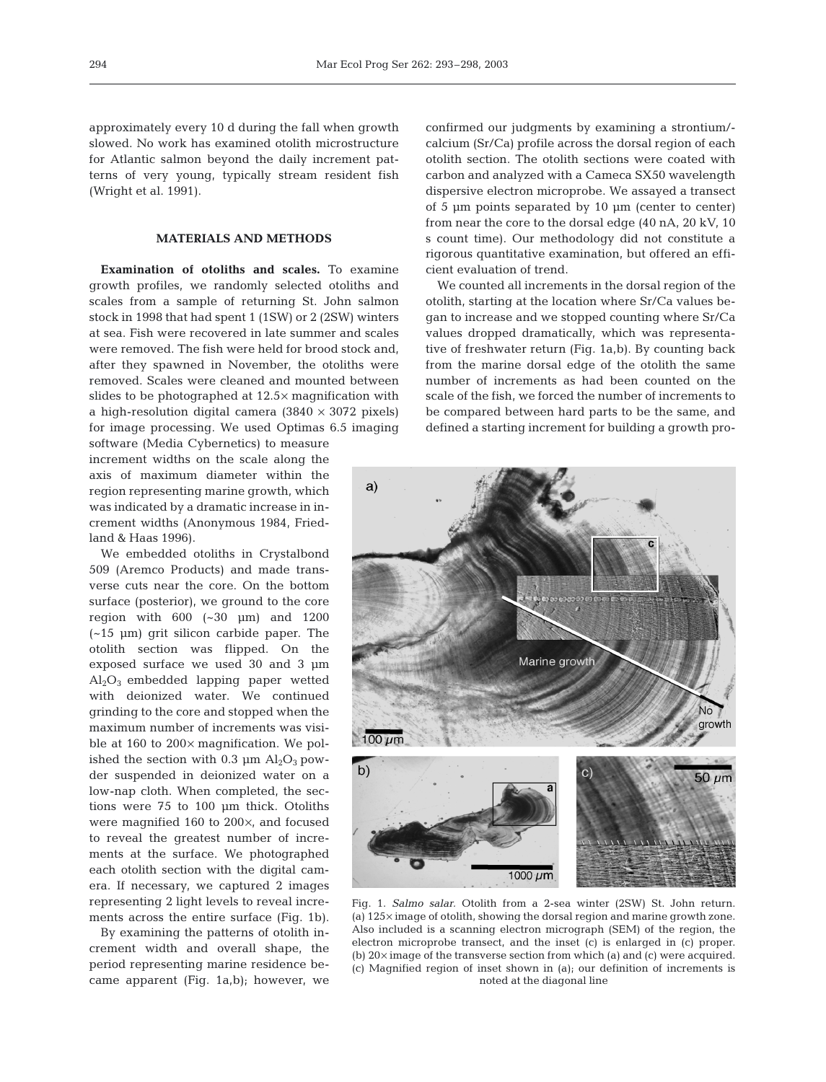approximately every 10 d during the fall when growth slowed. No work has examined otolith microstructure for Atlantic salmon beyond the daily increment patterns of very young, typically stream resident fish (Wright et al. 1991).

## **MATERIALS AND METHODS**

**Examination of otoliths and scales.** To examine growth profiles, we randomly selected otoliths and scales from a sample of returning St. John salmon stock in 1998 that had spent 1 (1SW) or 2 (2SW) winters at sea. Fish were recovered in late summer and scales were removed. The fish were held for brood stock and, after they spawned in November, the otoliths were removed. Scales were cleaned and mounted between slides to be photographed at 12.5× magnification with a high-resolution digital camera  $(3840 \times 3072)$  pixels) for image processing. We used Optimas 6.5 imaging

software (Media Cybernetics) to measure increment widths on the scale along the axis of maximum diameter within the region representing marine growth, which was indicated by a dramatic increase in increment widths (Anonymous 1984, Friedland & Haas 1996).

We embedded otoliths in Crystalbond 509 (Aremco Products) and made transverse cuts near the core. On the bottom surface (posterior), we ground to the core region with 600 (~30 µm) and 1200 (~15 µm) grit silicon carbide paper. The otolith section was flipped. On the exposed surface we used 30 and 3 µm Al2O3 embedded lapping paper wetted with deionized water. We continued grinding to the core and stopped when the maximum number of increments was visible at 160 to 200× magnification. We polished the section with 0.3  $\mu$ m Al<sub>2</sub>O<sub>3</sub> powder suspended in deionized water on a low-nap cloth. When completed, the sections were 75 to 100 µm thick. Otoliths were magnified 160 to 200×, and focused to reveal the greatest number of increments at the surface. We photographed each otolith section with the digital camera. If necessary, we captured 2 images representing 2 light levels to reveal increments across the entire surface (Fig. 1b).

By examining the patterns of otolith increment width and overall shape, the period representing marine residence became apparent (Fig. 1a,b); however, we

confirmed our judgments by examining a strontium/ calcium (Sr/Ca) profile across the dorsal region of each otolith section. The otolith sections were coated with carbon and analyzed with a Cameca SX50 wavelength dispersive electron microprobe. We assayed a transect of  $5 \mu m$  points separated by  $10 \mu m$  (center to center) from near the core to the dorsal edge (40 nA, 20 kV, 10 s count time). Our methodology did not constitute a rigorous quantitative examination, but offered an efficient evaluation of trend.

We counted all increments in the dorsal region of the otolith, starting at the location where Sr/Ca values began to increase and we stopped counting where Sr/Ca values dropped dramatically, which was representative of freshwater return (Fig. 1a,b). By counting back from the marine dorsal edge of the otolith the same number of increments as had been counted on the scale of the fish, we forced the number of increments to be compared between hard parts to be the same, and defined a starting increment for building a growth pro-



Fig. 1. *Salmo salar.* Otolith from a 2-sea winter (2SW) St. John return. (a) 125× image of otolith, showing the dorsal region and marine growth zone. Also included is a scanning electron micrograph (SEM) of the region, the electron microprobe transect, and the inset (c) is enlarged in (c) proper. (b) 20× image of the transverse section from which (a) and (c) were acquired. (c) Magnified region of inset shown in (a); our definition of increments is noted at the diagonal line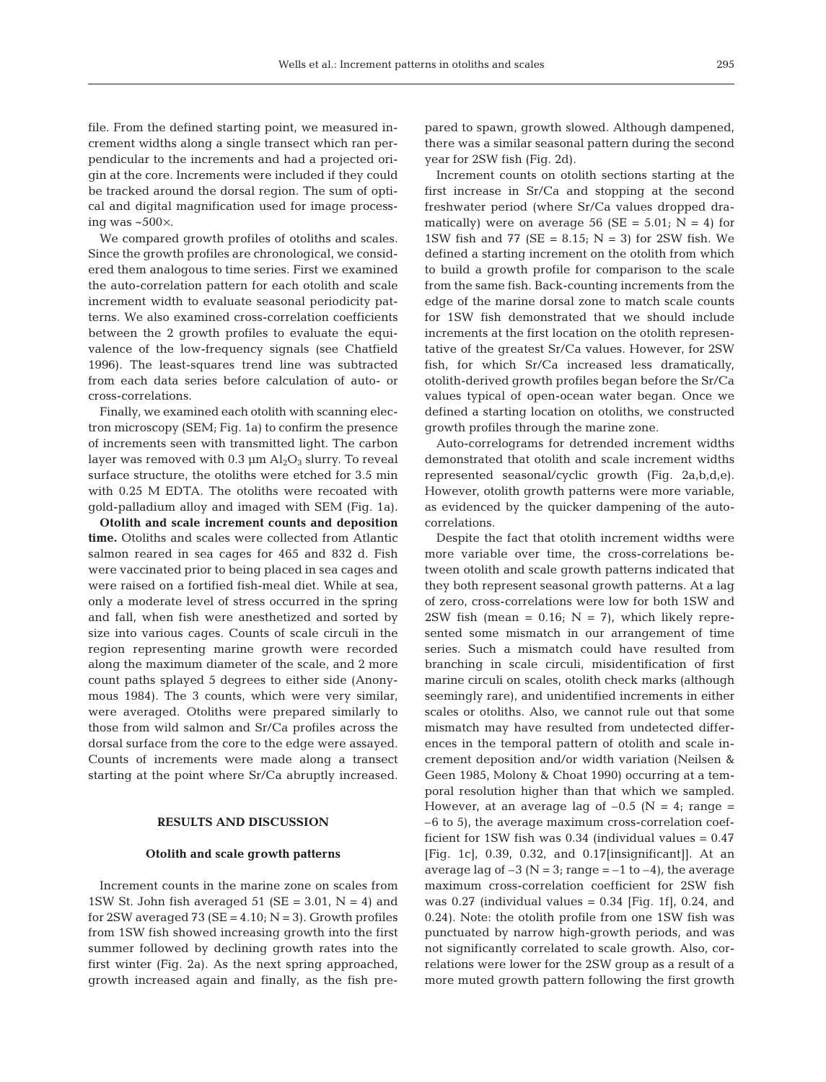file. From the defined starting point, we measured increment widths along a single transect which ran perpendicular to the increments and had a projected origin at the core. Increments were included if they could be tracked around the dorsal region. The sum of optical and digital magnification used for image processing was  $\sim$  500 $\times$ .

We compared growth profiles of otoliths and scales. Since the growth profiles are chronological, we considered them analogous to time series. First we examined the auto-correlation pattern for each otolith and scale increment width to evaluate seasonal periodicity patterns. We also examined cross-correlation coefficients between the 2 growth profiles to evaluate the equivalence of the low-frequency signals (see Chatfield 1996). The least-squares trend line was subtracted from each data series before calculation of auto- or cross-correlations.

Finally, we examined each otolith with scanning electron microscopy (SEM; Fig. 1a) to confirm the presence of increments seen with transmitted light. The carbon layer was removed with  $0.3 \mu m$  Al<sub>2</sub>O<sub>3</sub> slurry. To reveal surface structure, the otoliths were etched for 3.5 min with 0.25 M EDTA. The otoliths were recoated with gold-palladium alloy and imaged with SEM (Fig. 1a).

**Otolith and scale increment counts and deposition time.** Otoliths and scales were collected from Atlantic salmon reared in sea cages for 465 and 832 d. Fish were vaccinated prior to being placed in sea cages and were raised on a fortified fish-meal diet. While at sea, only a moderate level of stress occurred in the spring and fall, when fish were anesthetized and sorted by size into various cages. Counts of scale circuli in the region representing marine growth were recorded along the maximum diameter of the scale, and 2 more count paths splayed 5 degrees to either side (Anonymous 1984). The 3 counts, which were very similar, were averaged. Otoliths were prepared similarly to those from wild salmon and Sr/Ca profiles across the dorsal surface from the core to the edge were assayed. Counts of increments were made along a transect starting at the point where Sr/Ca abruptly increased.

## **RESULTS AND DISCUSSION**

#### **Otolith and scale growth patterns**

Increment counts in the marine zone on scales from 1SW St. John fish averaged 51 ( $SE = 3.01$ ,  $N = 4$ ) and for 2SW averaged 73 ( $SE = 4.10$ ;  $N = 3$ ). Growth profiles from 1SW fish showed increasing growth into the first summer followed by declining growth rates into the first winter (Fig. 2a). As the next spring approached, growth increased again and finally, as the fish pre-

pared to spawn, growth slowed. Although dampened, there was a similar seasonal pattern during the second year for 2SW fish (Fig. 2d).

Increment counts on otolith sections starting at the first increase in Sr/Ca and stopping at the second freshwater period (where Sr/Ca values dropped dramatically) were on average 56 ( $SE = 5.01$ ;  $N = 4$ ) for 1SW fish and 77 ( $SE = 8.15$ ;  $N = 3$ ) for 2SW fish. We defined a starting increment on the otolith from which to build a growth profile for comparison to the scale from the same fish. Back-counting increments from the edge of the marine dorsal zone to match scale counts for 1SW fish demonstrated that we should include increments at the first location on the otolith representative of the greatest Sr/Ca values. However, for 2SW fish, for which Sr/Ca increased less dramatically, otolith-derived growth profiles began before the Sr/Ca values typical of open-ocean water began. Once we defined a starting location on otoliths, we constructed growth profiles through the marine zone.

Auto-correlograms for detrended increment widths demonstrated that otolith and scale increment widths represented seasonal/cyclic growth (Fig. 2a,b,d,e). However, otolith growth patterns were more variable, as evidenced by the quicker dampening of the autocorrelations.

Despite the fact that otolith increment widths were more variable over time, the cross-correlations between otolith and scale growth patterns indicated that they both represent seasonal growth patterns. At a lag of zero, cross-correlations were low for both 1SW and 2SW fish (mean =  $0.16$ ; N = 7), which likely represented some mismatch in our arrangement of time series. Such a mismatch could have resulted from branching in scale circuli, misidentification of first marine circuli on scales, otolith check marks (although seemingly rare), and unidentified increments in either scales or otoliths. Also, we cannot rule out that some mismatch may have resulted from undetected differences in the temporal pattern of otolith and scale increment deposition and/or width variation (Neilsen & Geen 1985, Molony & Choat 1990) occurring at a temporal resolution higher than that which we sampled. However, at an average lag of  $-0.5$  (N = 4; range = –6 to 5), the average maximum cross-correlation coefficient for 1SW fish was  $0.34$  (individual values =  $0.47$ ) [Fig. 1c], 0.39, 0.32, and 0.17[insignificant]]. At an average lag of  $-3$  (N = 3; range =  $-1$  to  $-4$ ), the average maximum cross-correlation coefficient for 2SW fish was  $0.27$  (individual values =  $0.34$  [Fig. 1f],  $0.24$ , and 0.24). Note: the otolith profile from one 1SW fish was punctuated by narrow high-growth periods, and was not significantly correlated to scale growth. Also, correlations were lower for the 2SW group as a result of a more muted growth pattern following the first growth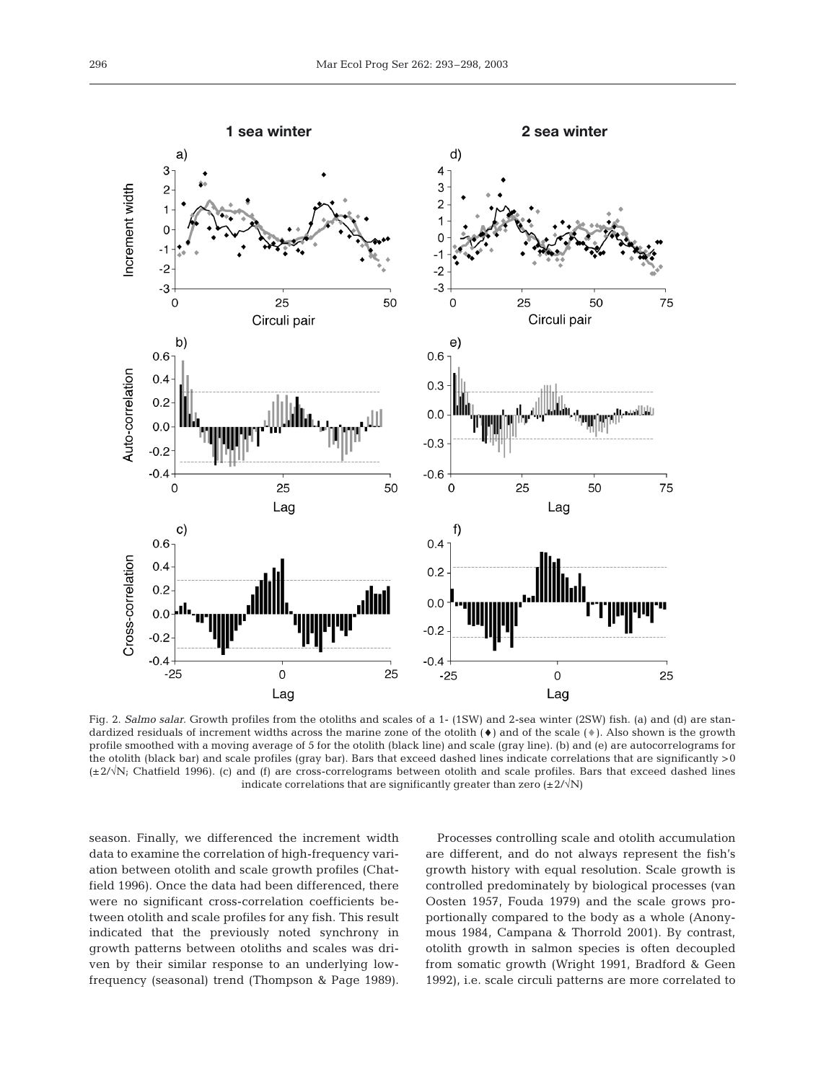

Fig. 2. *Salmo salar.* Growth profiles from the otoliths and scales of a 1- (1SW) and 2-sea winter (2SW) fish. (a) and (d) are standardized residuals of increment widths across the marine zone of the otolith (♦) and of the scale (♦). Also shown is the growth profile smoothed with a moving average of 5 for the otolith (black line) and scale (gray line). (b) and (e) are autocorrelograms for the otolith (black bar) and scale profiles (gray bar). Bars that exceed dashed lines indicate correlations that are significantly >0 (±2/√N; Chatfield 1996). (c) and (f) are cross-correlograms between otolith and scale profiles. Bars that exceed dashed lines indicate correlations that are significantly greater than zero  $(\pm 2/\sqrt{N})$ 

season. Finally, we differenced the increment width data to examine the correlation of high-frequency variation between otolith and scale growth profiles (Chatfield 1996). Once the data had been differenced, there were no significant cross-correlation coefficients between otolith and scale profiles for any fish. This result indicated that the previously noted synchrony in growth patterns between otoliths and scales was driven by their similar response to an underlying lowfrequency (seasonal) trend (Thompson & Page 1989).

Processes controlling scale and otolith accumulation are different, and do not always represent the fish's growth history with equal resolution. Scale growth is controlled predominately by biological processes (van Oosten 1957, Fouda 1979) and the scale grows proportionally compared to the body as a whole (Anonymous 1984, Campana & Thorrold 2001). By contrast, otolith growth in salmon species is often decoupled from somatic growth (Wright 1991, Bradford & Geen 1992), i.e. scale circuli patterns are more correlated to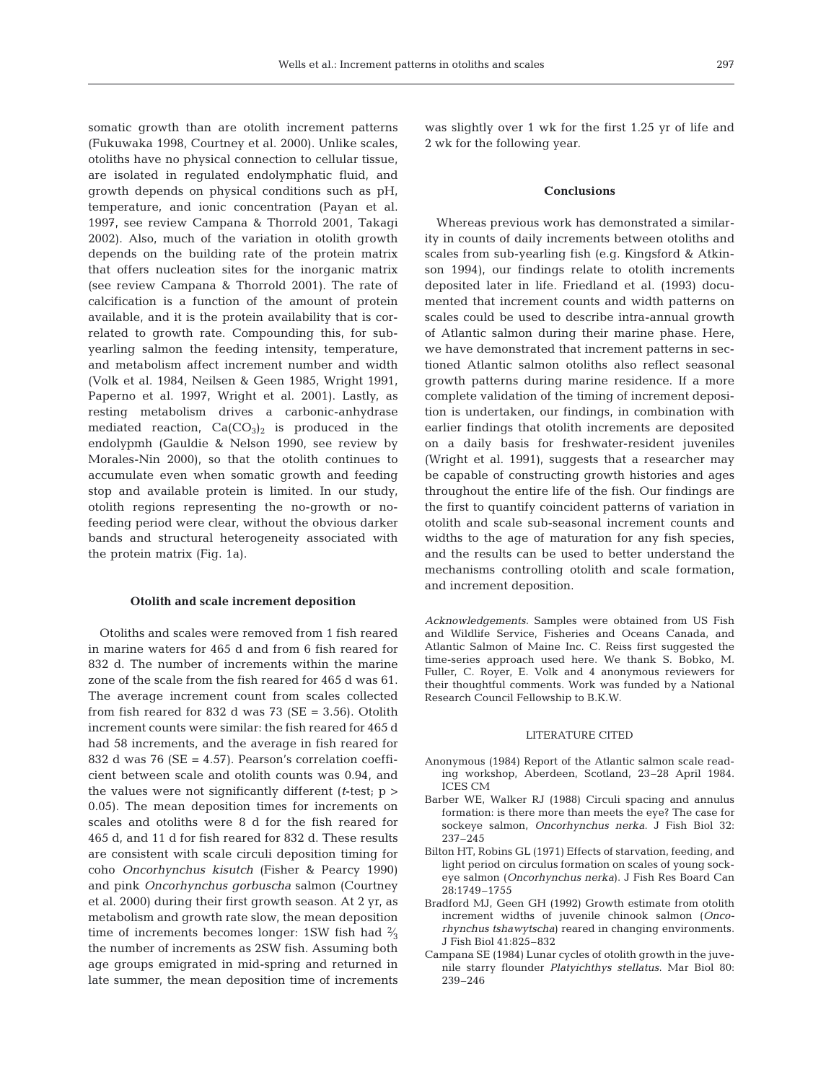somatic growth than are otolith increment patterns (Fukuwaka 1998, Courtney et al. 2000). Unlike scales, otoliths have no physical connection to cellular tissue, are isolated in regulated endolymphatic fluid, and growth depends on physical conditions such as pH, temperature, and ionic concentration (Payan et al. 1997, see review Campana & Thorrold 2001, Takagi 2002). Also, much of the variation in otolith growth depends on the building rate of the protein matrix that offers nucleation sites for the inorganic matrix (see review Campana & Thorrold 2001). The rate of calcification is a function of the amount of protein available, and it is the protein availability that is correlated to growth rate. Compounding this, for subyearling salmon the feeding intensity, temperature, and metabolism affect increment number and width (Volk et al. 1984, Neilsen & Geen 1985, Wright 1991, Paperno et al. 1997, Wright et al. 2001). Lastly, as resting metabolism drives a carbonic-anhydrase mediated reaction,  $Ca(CO<sub>3</sub>)<sub>2</sub>$  is produced in the endolypmh (Gauldie & Nelson 1990, see review by Morales-Nin 2000), so that the otolith continues to accumulate even when somatic growth and feeding stop and available protein is limited. In our study, otolith regions representing the no-growth or nofeeding period were clear, without the obvious darker bands and structural heterogeneity associated with the protein matrix (Fig. 1a).

#### **Otolith and scale increment deposition**

Otoliths and scales were removed from 1 fish reared in marine waters for 465 d and from 6 fish reared for 832 d. The number of increments within the marine zone of the scale from the fish reared for 465 d was 61. The average increment count from scales collected from fish reared for 832 d was 73 ( $SE = 3.56$ ). Otolith increment counts were similar: the fish reared for 465 d had 58 increments, and the average in fish reared for 832 d was 76 ( $SE = 4.57$ ). Pearson's correlation coefficient between scale and otolith counts was 0.94, and the values were not significantly different (*t*-test; p > 0.05). The mean deposition times for increments on scales and otoliths were 8 d for the fish reared for 465 d, and 11 d for fish reared for 832 d. These results are consistent with scale circuli deposition timing for coho *Oncorhynchus kisutch* (Fisher & Pearcy 1990) and pink *Oncorhynchus gorbuscha* salmon (Courtney et al. 2000) during their first growth season. At 2 yr, as metabolism and growth rate slow, the mean deposition time of increments becomes longer: 1SW fish had  $\frac{2}{3}$ the number of increments as 2SW fish. Assuming both age groups emigrated in mid-spring and returned in late summer, the mean deposition time of increments

was slightly over 1 wk for the first 1.25 yr of life and 2 wk for the following year.

## **Conclusions**

Whereas previous work has demonstrated a similarity in counts of daily increments between otoliths and scales from sub-yearling fish (e.g. Kingsford & Atkinson 1994), our findings relate to otolith increments deposited later in life. Friedland et al. (1993) documented that increment counts and width patterns on scales could be used to describe intra-annual growth of Atlantic salmon during their marine phase. Here, we have demonstrated that increment patterns in sectioned Atlantic salmon otoliths also reflect seasonal growth patterns during marine residence. If a more complete validation of the timing of increment deposition is undertaken, our findings, in combination with earlier findings that otolith increments are deposited on a daily basis for freshwater-resident juveniles (Wright et al. 1991), suggests that a researcher may be capable of constructing growth histories and ages throughout the entire life of the fish. Our findings are the first to quantify coincident patterns of variation in otolith and scale sub-seasonal increment counts and widths to the age of maturation for any fish species, and the results can be used to better understand the mechanisms controlling otolith and scale formation, and increment deposition.

*Acknowledgements.* Samples were obtained from US Fish and Wildlife Service, Fisheries and Oceans Canada, and Atlantic Salmon of Maine Inc. C. Reiss first suggested the time-series approach used here. We thank S. Bobko, M. Fuller, C. Royer, E. Volk and 4 anonymous reviewers for their thoughtful comments. Work was funded by a National Research Council Fellowship to B.K.W.

## LITERATURE CITED

- Anonymous (1984) Report of the Atlantic salmon scale reading workshop, Aberdeen, Scotland, 23–28 April 1984. ICES CM
- Barber WE, Walker RJ (1988) Circuli spacing and annulus formation: is there more than meets the eye? The case for sockeye salmon, *Oncorhynchus nerka*. J Fish Biol 32: 237–245
- Bilton HT, Robins GL (1971) Effects of starvation, feeding, and light period on circulus formation on scales of young sockeye salmon (*Oncorhynchus nerka*). J Fish Res Board Can 28:1749–1755
- Bradford MJ, Geen GH (1992) Growth estimate from otolith increment widths of juvenile chinook salmon (*Oncorhynchus tshawytscha*) reared in changing environments. J Fish Biol 41:825–832
- Campana SE (1984) Lunar cycles of otolith growth in the juvenile starry flounder *Platyichthys stellatus*. Mar Biol 80: 239–246